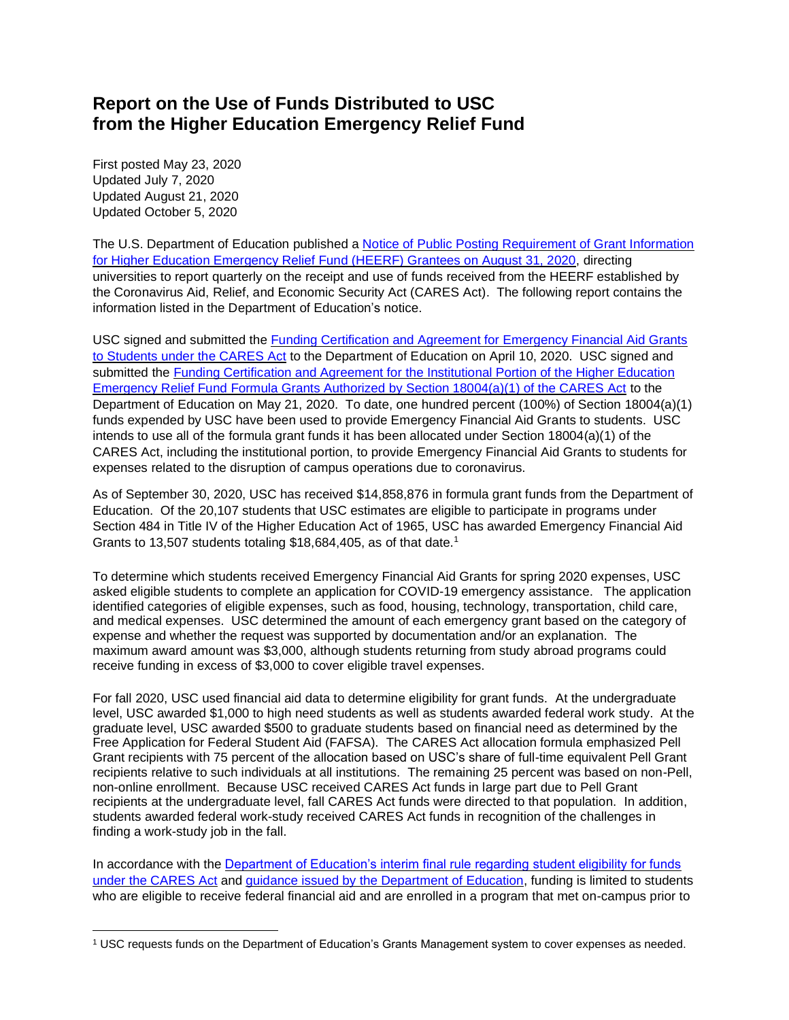## **Report on the Use of Funds Distributed to USC from the Higher Education Emergency Relief Fund**

First posted May 23, 2020 Updated July 7, 2020 Updated August 21, 2020 Updated October 5, 2020

The U.S. Department of Education published a [Notice of Public Posting Requirement of Grant Information](https://www.federalregister.gov/documents/2020/08/31/2020-19041/notice-of-public-posting-requirement-of-grant-information-for-higher-education-emergency-relief-fund)  [for Higher Education Emergency Relief Fund \(HEERF\) Grantees on August 31, 2020,](https://www.federalregister.gov/documents/2020/08/31/2020-19041/notice-of-public-posting-requirement-of-grant-information-for-higher-education-emergency-relief-fund) directing universities to report quarterly on the receipt and use of funds received from the HEERF established by the Coronavirus Aid, Relief, and Economic Security Act (CARES Act). The following report contains the information listed in the Department of Education's notice.

USC signed and submitted the Funding Certification and Agreement [for Emergency Financial Aid Grants](https://www2.ed.gov/about/offices/list/ope/heerfstudentscertificationagreement42020.pdf)  [to Students under the CARES Act](https://www2.ed.gov/about/offices/list/ope/heerfstudentscertificationagreement42020.pdf) to the Department of Education on April 10, 2020. USC signed and submitted the [Funding Certification and Agreement for the Institutional Portion of the Higher Education](https://www2.ed.gov/about/offices/list/ope/heerfInstitutionalcertificationagreement42020v2.pdf)  [Emergency Relief Fund Formula Grants Authorized by Section 18004\(a\)\(1\) of the CARES Act](https://www2.ed.gov/about/offices/list/ope/heerfInstitutionalcertificationagreement42020v2.pdf) to the Department of Education on May 21, 2020. To date, one hundred percent (100%) of Section 18004(a)(1) funds expended by USC have been used to provide Emergency Financial Aid Grants to students. USC intends to use all of the formula grant funds it has been allocated under Section 18004(a)(1) of the CARES Act, including the institutional portion, to provide Emergency Financial Aid Grants to students for expenses related to the disruption of campus operations due to coronavirus.

As of September 30, 2020, USC has received \$14,858,876 in formula grant funds from the Department of Education. Of the 20,107 students that USC estimates are eligible to participate in programs under Section 484 in Title IV of the Higher Education Act of 1965, USC has awarded Emergency Financial Aid Grants to 13,507 students totaling \$18,684,405, as of that date.<sup>1</sup>

To determine which students received Emergency Financial Aid Grants for spring 2020 expenses, USC asked eligible students to complete an application for COVID-19 emergency assistance. The application identified categories of eligible expenses, such as food, housing, technology, transportation, child care, and medical expenses. USC determined the amount of each emergency grant based on the category of expense and whether the request was supported by documentation and/or an explanation. The maximum award amount was \$3,000, although students returning from study abroad programs could receive funding in excess of \$3,000 to cover eligible travel expenses.

For fall 2020, USC used financial aid data to determine eligibility for grant funds. At the undergraduate level, USC awarded \$1,000 to high need students as well as students awarded federal work study. At the graduate level, USC awarded \$500 to graduate students based on financial need as determined by the Free Application for Federal Student Aid (FAFSA). The CARES Act allocation formula emphasized Pell Grant recipients with 75 percent of the allocation based on USC's share of full-time equivalent Pell Grant recipients relative to such individuals at all institutions. The remaining 25 percent was based on non-Pell, non-online enrollment. Because USC received CARES Act funds in large part due to Pell Grant recipients at the undergraduate level, fall CARES Act funds were directed to that population. In addition, students awarded federal work-study received CARES Act funds in recognition of the challenges in finding a work-study job in the fall.

In accordance with the Department of Education's interim final rule regarding student eligibility for funds [under the CARES Act](https://www.govinfo.gov/content/pkg/FR-2020-06-17/pdf/2020-12965.pdf) and [guidance issued by the Department of Education,](https://www2.ed.gov/about/offices/list/ope/heerfstudentfaqs.pdf) funding is limited to students who are eligible to receive federal financial aid and are enrolled in a program that met on-campus prior to

<sup>1</sup> USC requests funds on the Department of Education's Grants Management system to cover expenses as needed.